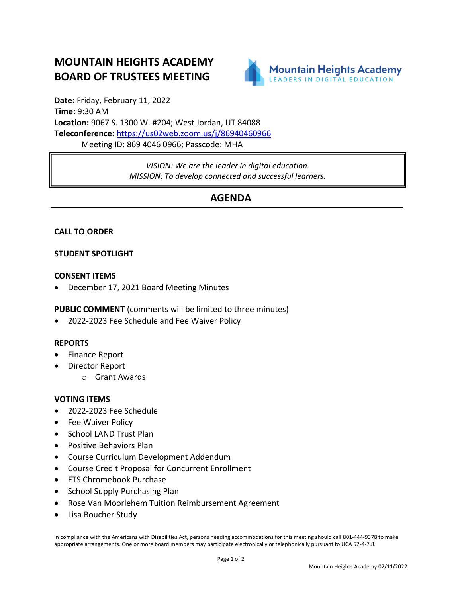# **MOUNTAIN HEIGHTS ACADEMY BOARD OF TRUSTEES MEETING**



**Date:** Friday, February 11, 2022 **Time:** 9:30 AM **Location:** 9067 S. 1300 W. #204; West Jordan, UT 84088 **Teleconference:** <https://us02web.zoom.us/j/86940460966> Meeting ID: 869 4046 0966; Passcode: MHA

> *VISION: We are the leader in digital education. MISSION: To develop connected and successful learners.*

## **AGENDA**

### **CALL TO ORDER**

#### **STUDENT SPOTLIGHT**

#### **CONSENT ITEMS**

• December 17, 2021 Board Meeting Minutes

**PUBLIC COMMENT** (comments will be limited to three minutes)

• 2022-2023 Fee Schedule and Fee Waiver Policy

#### **REPORTS**

- Finance Report
- Director Report
	- o Grant Awards

#### **VOTING ITEMS**

- 2022-2023 Fee Schedule
- Fee Waiver Policy
- School LAND Trust Plan
- Positive Behaviors Plan
- Course Curriculum Development Addendum
- Course Credit Proposal for Concurrent Enrollment
- ETS Chromebook Purchase
- School Supply Purchasing Plan
- Rose Van Moorlehem Tuition Reimbursement Agreement
- Lisa Boucher Study

In compliance with the Americans with Disabilities Act, persons needing accommodations for this meeting should call 801-444-9378 to make appropriate arrangements. One or more board members may participate electronically or telephonically pursuant to UCA 52-4-7.8.